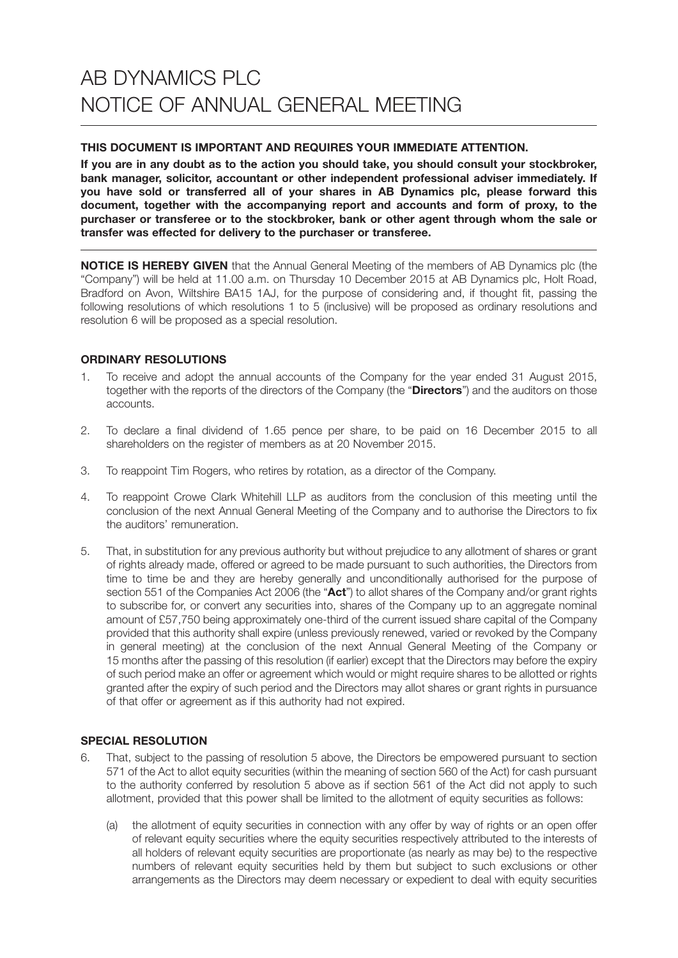## **THIS DOCUMENT IS IMPORTANT AND REQUIRES YOUR IMMEDIATE ATTENTION.**

**If you are in any doubt as to the action you should take, you should consult your stockbroker, bank manager, solicitor, accountant or other independent professional adviser immediately. If you have sold or transferred all of your shares in AB Dynamics plc, please forward this document, together with the accompanying report and accounts and form of proxy, to the purchaser or transferee or to the stockbroker, bank or other agent through whom the sale or transfer was effected for delivery to the purchaser or transferee.**

**NOTICE IS HEREBY GIVEN** that the Annual General Meeting of the members of AB Dynamics plc (the "Company") will be held at 11.00 a.m. on Thursday 10 December 2015 at AB Dynamics plc, Holt Road, Bradford on Avon, Wiltshire BA15 1AJ, for the purpose of considering and, if thought fit, passing the following resolutions of which resolutions 1 to 5 (inclusive) will be proposed as ordinary resolutions and resolution 6 will be proposed as a special resolution.

# **ORDINARY RESOLUTIONS**

- 1. To receive and adopt the annual accounts of the Company for the year ended 31 August 2015, together with the reports of the directors of the Company (the "**Directors**") and the auditors on those accounts.
- 2. To declare a final dividend of 1.65 pence per share, to be paid on 16 December 2015 to all shareholders on the register of members as at 20 November 2015.
- 3. To reappoint Tim Rogers, who retires by rotation, as a director of the Company.
- 4. To reappoint Crowe Clark Whitehill LLP as auditors from the conclusion of this meeting until the conclusion of the next Annual General Meeting of the Company and to authorise the Directors to fix the auditors' remuneration.
- 5. That, in substitution for any previous authority but without prejudice to any allotment of shares or grant of rights already made, offered or agreed to be made pursuant to such authorities, the Directors from time to time be and they are hereby generally and unconditionally authorised for the purpose of section 551 of the Companies Act 2006 (the "**Act**") to allot shares of the Company and/or grant rights to subscribe for, or convert any securities into, shares of the Company up to an aggregate nominal amount of £57,750 being approximately one-third of the current issued share capital of the Company provided that this authority shall expire (unless previously renewed, varied or revoked by the Company in general meeting) at the conclusion of the next Annual General Meeting of the Company or 15 months after the passing of this resolution (if earlier) except that the Directors may before the expiry of such period make an offer or agreement which would or might require shares to be allotted or rights granted after the expiry of such period and the Directors may allot shares or grant rights in pursuance of that offer or agreement as if this authority had not expired.

# **SPECIAL RESOLUTION**

- 6. That, subject to the passing of resolution 5 above, the Directors be empowered pursuant to section 571 of the Act to allot equity securities (within the meaning of section 560 of the Act) for cash pursuant to the authority conferred by resolution 5 above as if section 561 of the Act did not apply to such allotment, provided that this power shall be limited to the allotment of equity securities as follows:
	- (a) the allotment of equity securities in connection with any offer by way of rights or an open offer of relevant equity securities where the equity securities respectively attributed to the interests of all holders of relevant equity securities are proportionate (as nearly as may be) to the respective numbers of relevant equity securities held by them but subject to such exclusions or other arrangements as the Directors may deem necessary or expedient to deal with equity securities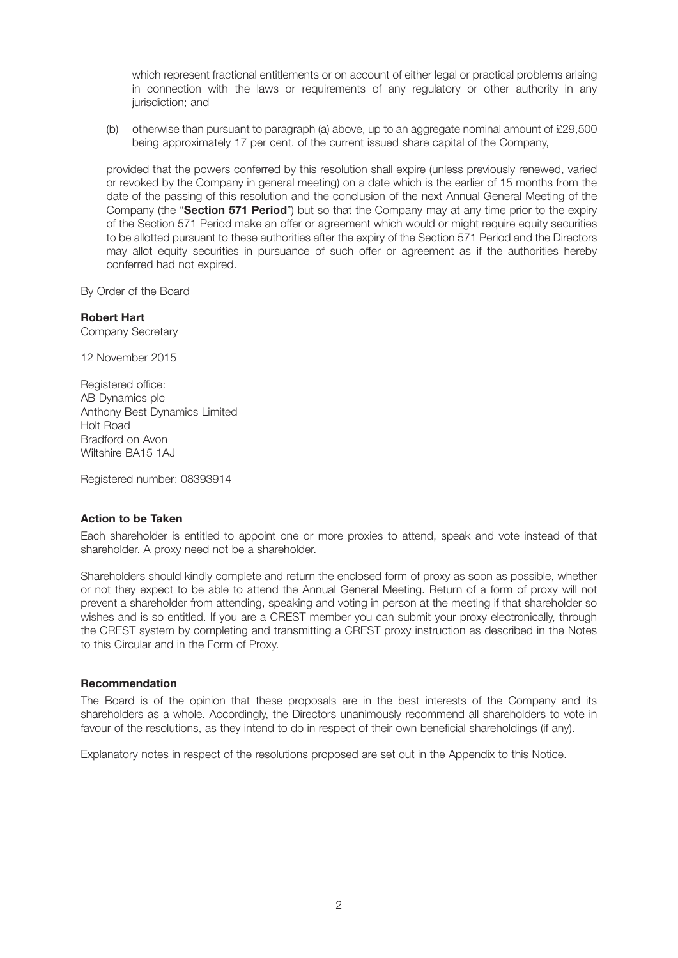which represent fractional entitlements or on account of either legal or practical problems arising in connection with the laws or requirements of any regulatory or other authority in any jurisdiction; and

 (b) otherwise than pursuant to paragraph (a) above, up to an aggregate nominal amount of £29,500 being approximately 17 per cent. of the current issued share capital of the Company,

 provided that the powers conferred by this resolution shall expire (unless previously renewed, varied or revoked by the Company in general meeting) on a date which is the earlier of 15 months from the date of the passing of this resolution and the conclusion of the next Annual General Meeting of the Company (the "**Section 571 Period**") but so that the Company may at any time prior to the expiry of the Section 571 Period make an offer or agreement which would or might require equity securities to be allotted pursuant to these authorities after the expiry of the Section 571 Period and the Directors may allot equity securities in pursuance of such offer or agreement as if the authorities hereby conferred had not expired.

By Order of the Board

# **Robert Hart**

Company Secretary

12 November 2015

Registered office: AB Dynamics plc Anthony Best Dynamics Limited Holt Road Bradford on Avon Wiltshire BA15 1AJ

Registered number: 08393914

### **Action to be Taken**

Each shareholder is entitled to appoint one or more proxies to attend, speak and vote instead of that shareholder. A proxy need not be a shareholder.

Shareholders should kindly complete and return the enclosed form of proxy as soon as possible, whether or not they expect to be able to attend the Annual General Meeting. Return of a form of proxy will not prevent a shareholder from attending, speaking and voting in person at the meeting if that shareholder so wishes and is so entitled. If you are a CREST member you can submit your proxy electronically, through the CREST system by completing and transmitting a CREST proxy instruction as described in the Notes to this Circular and in the Form of Proxy.

### **Recommendation**

The Board is of the opinion that these proposals are in the best interests of the Company and its shareholders as a whole. Accordingly, the Directors unanimously recommend all shareholders to vote in favour of the resolutions, as they intend to do in respect of their own beneficial shareholdings (if any).

Explanatory notes in respect of the resolutions proposed are set out in the Appendix to this Notice.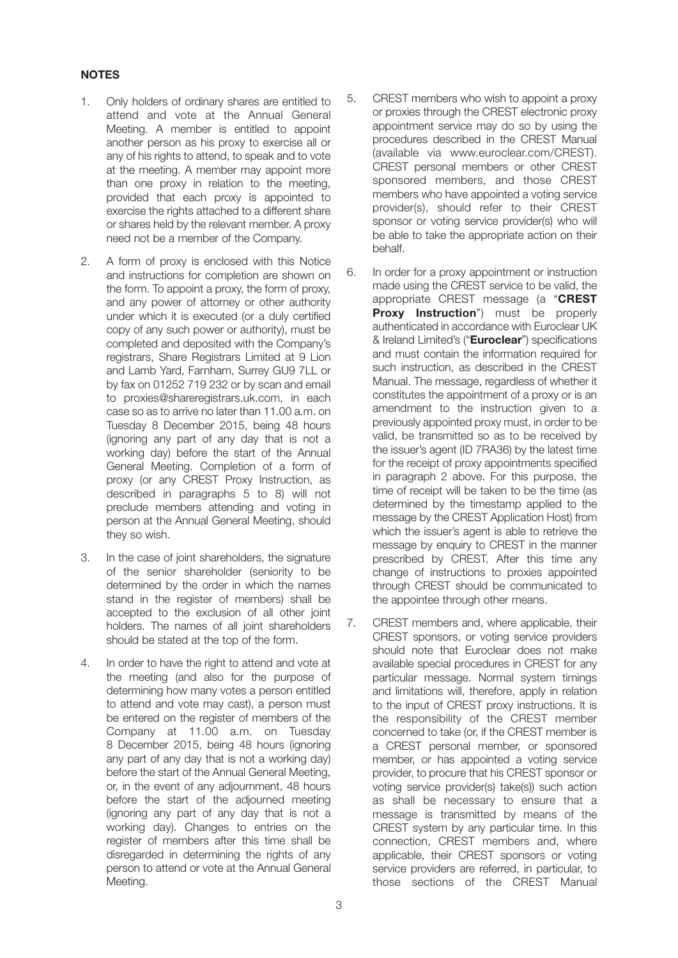# **NOTES**

- 1. Only holders of ordinary shares are entitled to attend and vote at the Annual General Meeting. A member is entitled to appoint another person as his proxy to exercise all or any of his rights to attend, to speak and to vote at the meeting. A member may appoint more than one proxy in relation to the meeting, provided that each proxy is appointed to exercise the rights attached to a different share or shares held by the relevant member. A proxy need not be a member of the Company.
- 2. A form of proxy is enclosed with this Notice and instructions for completion are shown on the form. To appoint a proxy, the form of proxy, and any power of attorney or other authority under which it is executed (or a duly certified copy of any such power or authority), must be completed and deposited with the Company's registrars, Share Registrars Limited at 9 Lion and Lamb Yard, Farnham, Surrey GU9 7LL or by fax on 01252 719 232 or by scan and email to proxies@shareregistrars.uk.com, in each case so as to arrive no later than 11.00 a.m. on Tuesday 8 December 2015, being 48 hours (ignoring any part of any day that is not a working day) before the start of the Annual General Meeting. Completion of a form of proxy (or any CREST Proxy Instruction, as described in paragraphs 5 to 8) will not preclude members attending and voting in person at the Annual General Meeting, should they so wish.
- 3. In the case of joint shareholders, the signature of the senior shareholder (seniority to be determined by the order in which the names stand in the register of members) shall be accepted to the exclusion of all other joint holders. The names of all joint shareholders should be stated at the top of the form.
- 4. In order to have the right to attend and vote at the meeting (and also for the purpose of determining how many votes a person entitled to attend and vote may cast), a person must be entered on the register of members of the Company at 11.00 a.m. on Tuesday 8 December 2015, being 48 hours (ignoring any part of any day that is not a working day) before the start of the Annual General Meeting, or, in the event of any adjournment, 48 hours before the start of the adjourned meeting (ignoring any part of any day that is not a working day). Changes to entries on the register of members after this time shall be disregarded in determining the rights of any person to attend or vote at the Annual General Meeting.
- 5. CREST members who wish to appoint a proxy or proxies through the CREST electronic proxy appointment service may do so by using the procedures described in the CREST Manual (available via www.euroclear.com/CREST). CREST personal members or other CREST sponsored members, and those CREST members who have appointed a voting service provider(s), should refer to their CREST sponsor or voting service provider(s) who will be able to take the appropriate action on their behalf.
- 6. In order for a proxy appointment or instruction made using the CREST service to be valid, the appropriate CREST message (a "**CREST Proxy Instruction**") must be properly authenticated in accordance with Euroclear UK & Ireland Limited's ("**Euroclear**") specifications and must contain the information required for such instruction, as described in the CREST Manual. The message, regardless of whether it constitutes the appointment of a proxy or is an amendment to the instruction given to a previously appointed proxy must, in order to be valid, be transmitted so as to be received by the issuer's agent (ID 7RA36) by the latest time for the receipt of proxy appointments specified in paragraph 2 above. For this purpose, the time of receipt will be taken to be the time (as determined by the timestamp applied to the message by the CREST Application Host) from which the issuer's agent is able to retrieve the message by enquiry to CREST in the manner prescribed by CREST. After this time any change of instructions to proxies appointed through CREST should be communicated to the appointee through other means.
- 7. CREST members and, where applicable, their CREST sponsors, or voting service providers should note that Euroclear does not make available special procedures in CREST for any particular message. Normal system timings and limitations will, therefore, apply in relation to the input of CREST proxy instructions. It is the responsibility of the CREST member concerned to take (or, if the CREST member is a CREST personal member, or sponsored member, or has appointed a voting service provider, to procure that his CREST sponsor or voting service provider(s) take(s)) such action as shall be necessary to ensure that a message is transmitted by means of the CREST system by any particular time. In this connection, CREST members and, where applicable, their CREST sponsors or voting service providers are referred, in particular, to those sections of the CREST Manual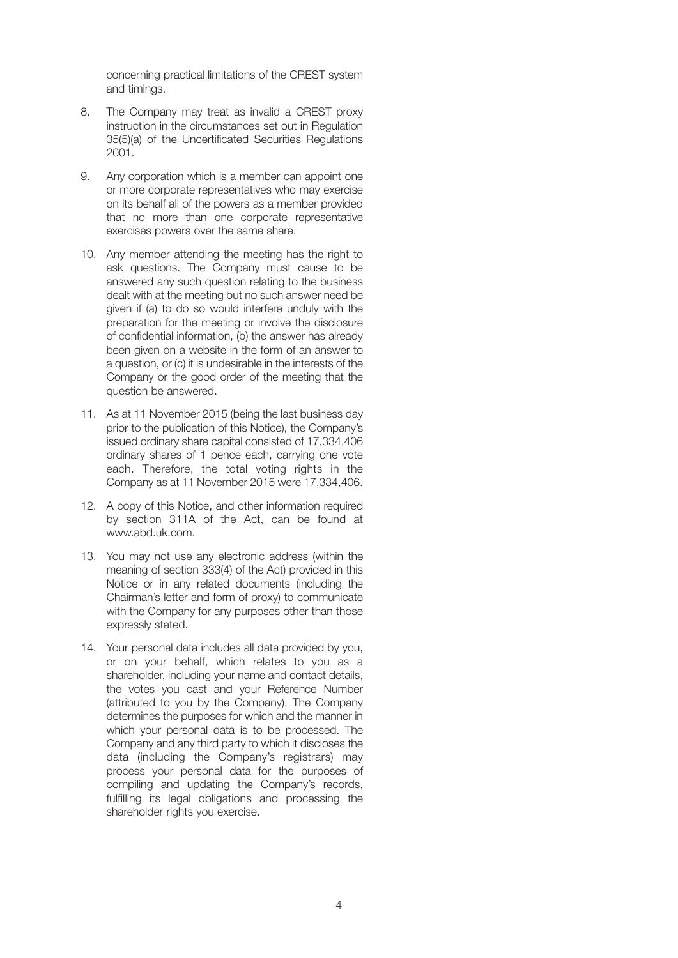concerning practical limitations of the CREST system and timings.

- 8. The Company may treat as invalid a CREST proxy instruction in the circumstances set out in Regulation 35(5)(a) of the Uncertificated Securities Regulations 2001.
- 9. Any corporation which is a member can appoint one or more corporate representatives who may exercise on its behalf all of the powers as a member provided that no more than one corporate representative exercises powers over the same share.
- 10. Any member attending the meeting has the right to ask questions. The Company must cause to be answered any such question relating to the business dealt with at the meeting but no such answer need be given if (a) to do so would interfere unduly with the preparation for the meeting or involve the disclosure of confidential information, (b) the answer has already been given on a website in the form of an answer to a question, or (c) it is undesirable in the interests of the Company or the good order of the meeting that the question be answered.
- 11. As at 11 November 2015 (being the last business day prior to the publication of this Notice), the Company's issued ordinary share capital consisted of 17,334,406 ordinary shares of 1 pence each, carrying one vote each. Therefore, the total voting rights in the Company as at 11 November 2015 were 17,334,406.
- 12. A copy of this Notice, and other information required by section 311A of the Act, can be found at www.abd.uk.com.
- 13. You may not use any electronic address (within the meaning of section 333(4) of the Act) provided in this Notice or in any related documents (including the Chairman's letter and form of proxy) to communicate with the Company for any purposes other than those expressly stated.
- 14. Your personal data includes all data provided by you, or on your behalf, which relates to you as a shareholder, including your name and contact details, the votes you cast and your Reference Number (attributed to you by the Company). The Company determines the purposes for which and the manner in which your personal data is to be processed. The Company and any third party to which it discloses the data (including the Company's registrars) may process your personal data for the purposes of compiling and updating the Company's records, fulfilling its legal obligations and processing the shareholder rights you exercise.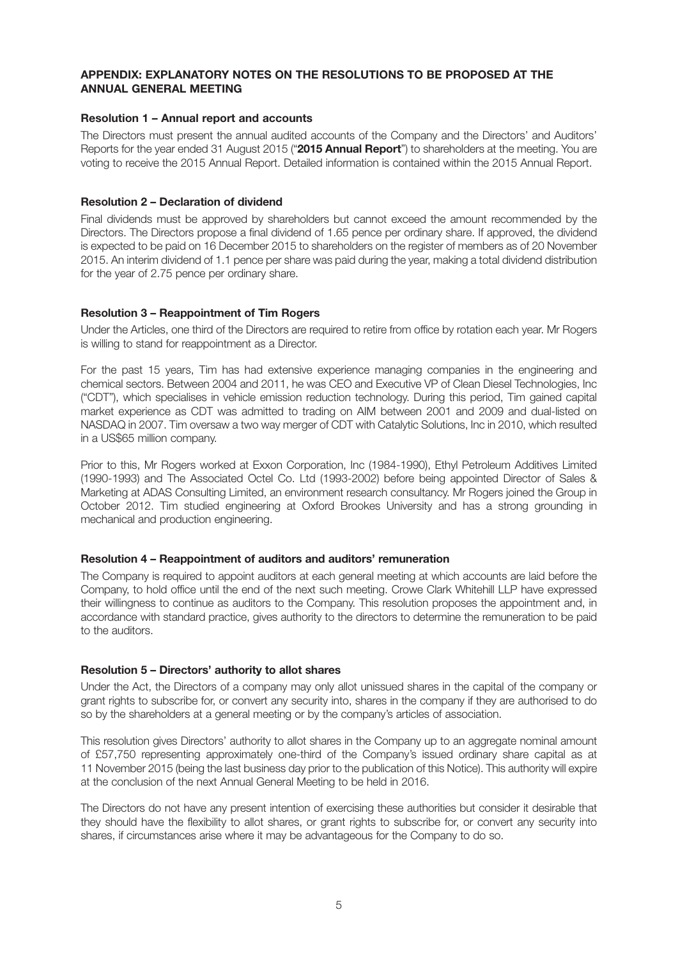## **APPENDIX: EXPLANATORY NOTES ON THE RESOLUTIONS TO BE PROPOSED AT THE ANNUAL GENERAL MEETING**

## **Resolution 1 – Annual report and accounts**

The Directors must present the annual audited accounts of the Company and the Directors' and Auditors' Reports for the year ended 31 August 2015 ("**2015 Annual Report**") to shareholders at the meeting. You are voting to receive the 2015 Annual Report. Detailed information is contained within the 2015 Annual Report.

## **Resolution 2 – Declaration of dividend**

Final dividends must be approved by shareholders but cannot exceed the amount recommended by the Directors. The Directors propose a final dividend of 1.65 pence per ordinary share. If approved, the dividend is expected to be paid on 16 December 2015 to shareholders on the register of members as of 20 November 2015. An interim dividend of 1.1 pence per share was paid during the year, making a total dividend distribution for the year of 2.75 pence per ordinary share.

## **Resolution 3 – Reappointment of Tim Rogers**

Under the Articles, one third of the Directors are required to retire from office by rotation each year. Mr Rogers is willing to stand for reappointment as a Director.

For the past 15 years, Tim has had extensive experience managing companies in the engineering and chemical sectors. Between 2004 and 2011, he was CEO and Executive VP of Clean Diesel Technologies, Inc ("CDT"), which specialises in vehicle emission reduction technology. During this period, Tim gained capital market experience as CDT was admitted to trading on AIM between 2001 and 2009 and dual-listed on NASDAQ in 2007. Tim oversaw a two way merger of CDT with Catalytic Solutions, Inc in 2010, which resulted in a US\$65 million company.

Prior to this, Mr Rogers worked at Exxon Corporation, Inc (1984-1990), Ethyl Petroleum Additives Limited (1990-1993) and The Associated Octel Co. Ltd (1993-2002) before being appointed Director of Sales & Marketing at ADAS Consulting Limited, an environment research consultancy. Mr Rogers joined the Group in October 2012. Tim studied engineering at Oxford Brookes University and has a strong grounding in mechanical and production engineering.

### **Resolution 4 – Reappointment of auditors and auditors' remuneration**

The Company is required to appoint auditors at each general meeting at which accounts are laid before the Company, to hold office until the end of the next such meeting. Crowe Clark Whitehill LLP have expressed their willingness to continue as auditors to the Company. This resolution proposes the appointment and, in accordance with standard practice, gives authority to the directors to determine the remuneration to be paid to the auditors.

### **Resolution 5 – Directors' authority to allot shares**

Under the Act, the Directors of a company may only allot unissued shares in the capital of the company or grant rights to subscribe for, or convert any security into, shares in the company if they are authorised to do so by the shareholders at a general meeting or by the company's articles of association.

This resolution gives Directors' authority to allot shares in the Company up to an aggregate nominal amount of £57,750 representing approximately one-third of the Company's issued ordinary share capital as at 11 November 2015 (being the last business day prior to the publication of this Notice). This authority will expire at the conclusion of the next Annual General Meeting to be held in 2016.

The Directors do not have any present intention of exercising these authorities but consider it desirable that they should have the flexibility to allot shares, or grant rights to subscribe for, or convert any security into shares, if circumstances arise where it may be advantageous for the Company to do so.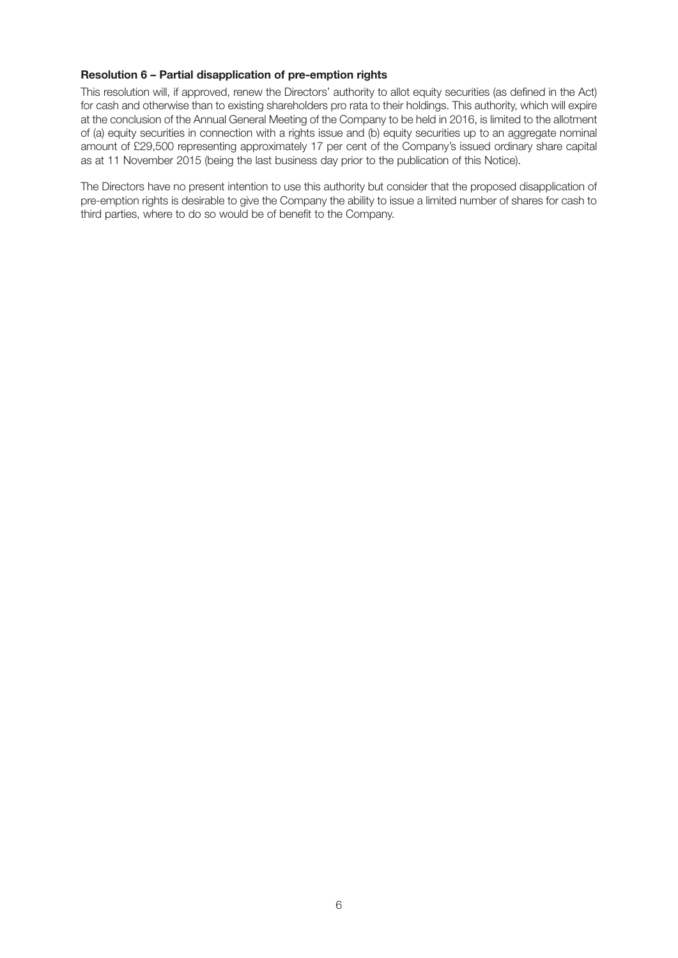## **Resolution 6 – Partial disapplication of pre-emption rights**

This resolution will, if approved, renew the Directors' authority to allot equity securities (as defined in the Act) for cash and otherwise than to existing shareholders pro rata to their holdings. This authority, which will expire at the conclusion of the Annual General Meeting of the Company to be held in 2016, is limited to the allotment of (a) equity securities in connection with a rights issue and (b) equity securities up to an aggregate nominal amount of £29,500 representing approximately 17 per cent of the Company's issued ordinary share capital as at 11 November 2015 (being the last business day prior to the publication of this Notice).

The Directors have no present intention to use this authority but consider that the proposed disapplication of pre-emption rights is desirable to give the Company the ability to issue a limited number of shares for cash to third parties, where to do so would be of benefit to the Company.